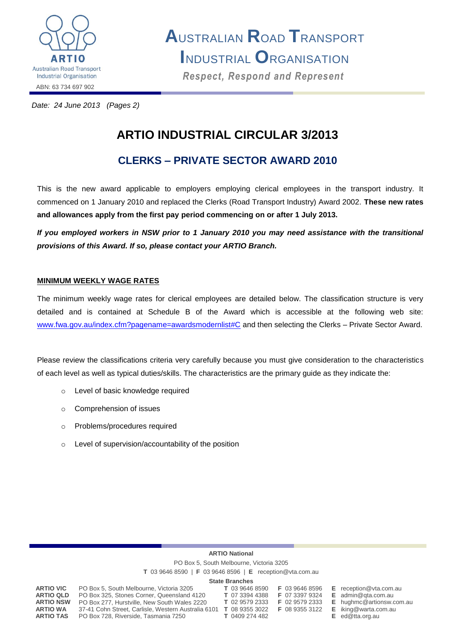

**A**USTRALIAN **R**OAD **T**RANSPORT **I**NDUSTRIAL **O**RGANISATION *Respect, Respond and Represent Respect, Respond and Represent*

*Date: 24 June 2013 (Pages 2)*

# **ARTIO INDUSTRIAL CIRCULAR 3/2013**

## **CLERKS – PRIVATE SECTOR AWARD 2010**

This is the new award applicable to employers employing clerical employees in the transport industry. It commenced on 1 January 2010 and replaced the Clerks (Road Transport Industry) Award 2002. **These new rates and allowances apply from the first pay period commencing on or after 1 July 2013.**

*If you employed workers in NSW prior to 1 January 2010 you may need assistance with the transitional provisions of this Award. If so, please contact your ARTIO Branch.*

## **MINIMUM WEEKLY WAGE RATES**

The minimum weekly wage rates for clerical employees are detailed below. The classification structure is very detailed and is contained at Schedule B of the Award which is accessible at the following web site: [www.fwa.gov.au/index.cfm?pagename=awardsmodernlist#C](http://www.fwa.gov.au/index.cfm?pagename=awardsmodernlist#C) and then selecting the Clerks - Private Sector Award.

Please review the classifications criteria very carefully because you must give consideration to the characteristics of each level as well as typical duties/skills. The characteristics are the primary guide as they indicate the:

- o Level of basic knowledge required
- o Comprehension of issues
- o Problems/procedures required
- o Level of supervision/accountability of the position

## **ARTIO National**

PO Box 5, South Melbourne, Victoria 3205

**T** 03 9646 8590 | **F** 03 9646 8596 | **E** reception@vta.com.au

#### **State Branches**

| PO Box 5, South Melbourne, Victoria 3205<br>PO Box 325, Stones Corner, Queensland 4120<br>PO Box 277, Hurstville, New South Wales 2220<br>37-41 Cohn Street, Carlisle, Western Australia 6101 | T 03 9646 8590<br>T 07 3394 4388<br>T 02 9579 2333<br><b>T</b> 08 9355 3022 | F 03 9646 8596<br>F 07 3397 9324<br>F 02 9579 2333<br><b>F</b> 08 9355 3122 | $E$ reception@vta.com<br>$E$ admin@gta.com.au<br>$E$ hughmc@artionsw.<br>$E$ iking@warta.com.a<br>$E$ ed@tta.org.au |
|-----------------------------------------------------------------------------------------------------------------------------------------------------------------------------------------------|-----------------------------------------------------------------------------|-----------------------------------------------------------------------------|---------------------------------------------------------------------------------------------------------------------|
|                                                                                                                                                                                               |                                                                             |                                                                             |                                                                                                                     |
|                                                                                                                                                                                               | PO Box 728, Riverside, Tasmania 7250                                        | T 0409 274 482                                                              |                                                                                                                     |

**ARTIO VIC** PO Box 5, South Melbourne, Victoria 3205 **T** 03 9646 8590 **F** 03 9646 8596 **E** reception@vta.com.au **ARTIO NSW** PO Box 277, Hurstville, New South Wales 2220 **T** 02 9579 2333 **F** 02 9579 2333 **E** hughmc@artionsw.com.au **ARTIO WA** 37-41 Cohn Street, Carlisle, Western Australia 6101 **T** 08 9355 3022 **F** 08 9355 3122 **E** iking@warta.com.au